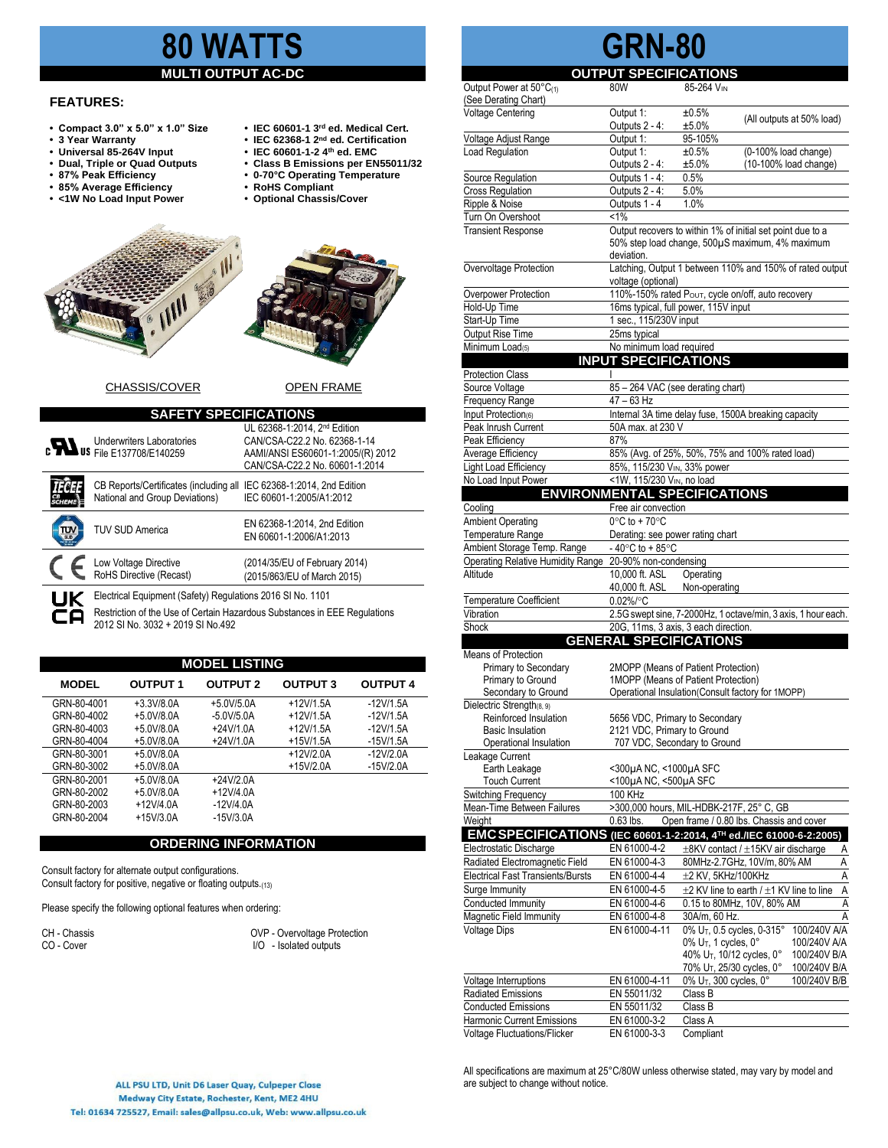# **80 WATTS**

#### **MULTI OUTPUT AC-DC**

## **FEATURES:**

- **•** Compact 3.0" x 5.0" x 1.0" Size
- **•** 3 Year Warranty<br>• Universal 85-264V Input
- 
- 
- 
- **85% Average Efficiency • RoHS Compliant**
- **• <1W No Load Input Power • Optional Chassis/Cover**
- **rd ed. Medical Cert.**
- **nd ed. Certification**
- **• Universal 85-264V Input • IEC 60601-1-2 4th ed. EMC**
- **• Dual, Triple or Quad Outputs • Class B Emissions per EN55011/32**
	- **87% Peak Efficiency • 0-70°C Operating Temperature**
	-



CHASSIS/COVER OPEN FRAME

| <b>SAFETY SPECIFICATIONS</b> |                                                                                                                                         |                                                                                                                                     |  |  |  |  |
|------------------------------|-----------------------------------------------------------------------------------------------------------------------------------------|-------------------------------------------------------------------------------------------------------------------------------------|--|--|--|--|
|                              | <b>Underwriters Laboratories</b><br><b>C</b><br><b>Dus</b> File E137708/E140259                                                         | UL 62368-1:2014. 2nd Edition<br>CAN/CSA-C22.2 No. 62368-1-14<br>AAMI/ANSI ES60601-1:2005/(R) 2012<br>CAN/CSA-C22.2 No. 60601-1:2014 |  |  |  |  |
|                              | CB Reports/Certificates (including all<br>National and Group Deviations)                                                                | IEC 62368-1:2014, 2nd Edition<br>IEC 60601-1:2005/A1:2012                                                                           |  |  |  |  |
|                              | <b>TUV SUD America</b>                                                                                                                  | EN 62368-1:2014, 2nd Edition<br>EN 60601-1:2006/A1:2013                                                                             |  |  |  |  |
|                              | Low Voltage Directive<br>RoHS Directive (Recast)                                                                                        | (2014/35/EU of February 2014)<br>(2015/863/EU of March 2015)                                                                        |  |  |  |  |
| <b>UK</b>                    | Electrical Equipment (Safety) Regulations 2016 SI No. 1101<br>Restriction of the Use of Certain Hazardous Substances in EEE Regulations |                                                                                                                                     |  |  |  |  |

2012 SI No. 3032 + 2019 SI No.492

| <b>MODEL LISTING</b> |                 |                 |                 |                 |  |
|----------------------|-----------------|-----------------|-----------------|-----------------|--|
| <b>MODEL</b>         | <b>OUTPUT 1</b> | <b>OUTPUT 2</b> | <b>OUTPUT 3</b> | <b>OUTPUT 4</b> |  |
| GRN-80-4001          | $+3.3V/8.0A$    | $+5.0V/5.0A$    | $+12V/15A$      | -12V/1.5A       |  |
| GRN-80-4002          | $+5.0V/8.0A$    | $-5.0V/5.0A$    | $+12V/15A$      | $-12V/1.5A$     |  |
| GRN-80-4003          | $+5.0V/8.0A$    | $+24V/1.0A$     | $+12V/1.5A$     | $-12V/1.5A$     |  |
| GRN-80-4004          | $+5.0V/8.0A$    | $+24V/1.0A$     | $+15V/1.5A$     | $-15V/1.5A$     |  |
| GRN-80-3001          | $+5.0V/8.0A$    |                 | $+12V/2.0A$     | $-12V/2.0A$     |  |
| GRN-80-3002          | $+5.0V/8.0A$    |                 | $+15V/2.0A$     | $-15V/2.0A$     |  |
| GRN-80-2001          | $+5.0V/8.0A$    | $+24V/2.0A$     |                 |                 |  |
| GRN-80-2002          | $+5.0V/8.0A$    | $+12V/4.0A$     |                 |                 |  |
| GRN-80-2003          | $+12V/4.0A$     | $-12V/4.0A$     |                 |                 |  |
| GRN-80-2004          | $+15V/3.0A$     | $-15V/3.0A$     |                 |                 |  |

### **ORDERING INFORMATION**

Consult factory for alternate output configurations. Consult factory for positive, negative or floating outputs.(13)

Please specify the following optional features when ordering:

CH - Chassis COVP - Overvoltage Protection<br>CO - Cover COVP - Isolated outputs  $I/O -$  Isolated outputs

#### **OUTPUT SPECIFICATIONS**<br>80W<br>85-264 Vin Output Power at  $50^{\circ}C_{(1)}$  80W 85-264 VIN (See Derating Chart) Voltage Centering Output 1:  $\pm 0.5\%$  (All outputs at 50% load)<br>
Voltage Adjust Range Output 1: 95-105% Voltage Adjust Range Load Regulation <br>
Output 1:  $\pm 0.5\%$  (0-100% load change)<br>
Outputs 2 - 4:  $\pm 5.0\%$  (10-100% load change)  $(10-100\%$  load change) Source Regulation **Outputs 1 - 4: 0.5%** Cross Regulation **Cross Regulation** Outputs 2 - 4: 5.0% Ripple & Noise **Outputs 1 - 4** 1.0% Turn On Overshoot <1%<br>Transient Response Outp Output recovers to within 1% of initial set point due to a 50% step load change, 500µS maximum, 4% maximum deviation. Overvoltage Protection Latching, Output 1 between 110% and 150% of rated output voltage (optional) Overpower Protection 110%-150% rated Poυτ, cycle on/off, auto recovery<br>
Hold-Up Time 16ms typical. full power. 115V input 16ms typical, full power, 115V input Start-Up Time 1 sec., 115/230V input<br>
Output Rise Time 25ms typical

Minimum Load(5) No minimum load required

Frequency Range 47 – 63 Hz<br>Input Protection(6) linternal 3A

Source Voltage 85 – 264 VAC (see derating chart)

**Output Rise Time** 

**Protection Class** 

**GRN-80**

**INPUT SPECIFICATIONS**

Internal 3A time delay fuse, 1500A breaking capacity

| Peak Inrush Current                               | 50A max. at 230 V                                           |                                                                     |  |  |
|---------------------------------------------------|-------------------------------------------------------------|---------------------------------------------------------------------|--|--|
| Peak Efficiency                                   | 87%                                                         |                                                                     |  |  |
| Average Efficiency                                | 85% (Avg. of 25%, 50%, 75% and 100% rated load)             |                                                                     |  |  |
| Light Load Efficiency                             | 85%, 115/230 VIN, 33% power                                 |                                                                     |  |  |
| No Load Input Power                               | <1W, 115/230 VIN, no load                                   |                                                                     |  |  |
|                                                   |                                                             | <b>ENVIRONMENTAL SPECIFICATIONS</b>                                 |  |  |
| Cooling                                           | Free air convection                                         |                                                                     |  |  |
| <b>Ambient Operating</b>                          | $0^{\circ}$ C to + 70 $^{\circ}$ C                          |                                                                     |  |  |
| Temperature Range                                 | Derating: see power rating chart                            |                                                                     |  |  |
| Ambient Storage Temp. Range                       | -40 $\degree$ C to +85 $\degree$ C                          |                                                                     |  |  |
| <b>Operating Relative Humidity Range</b>          | 20-90% non-condensing                                       |                                                                     |  |  |
| Altitude                                          | 10,000 ft. ASL                                              | Operating                                                           |  |  |
|                                                   | 40,000 ft. ASL                                              | Non-operating                                                       |  |  |
| <b>Temperature Coefficient</b>                    | $0.02\%$ /°C                                                |                                                                     |  |  |
| Vibration                                         |                                                             | 2.5G swept sine, 7-2000Hz, 1 octave/min, 3 axis, 1 hour each.       |  |  |
| Shock                                             |                                                             | 20G, 11ms, 3 axis, 3 each direction.                                |  |  |
|                                                   | <b>GENERAL SPECIFICATIONS</b>                               |                                                                     |  |  |
| Means of Protection                               |                                                             |                                                                     |  |  |
| Primary to Secondary                              |                                                             | 2MOPP (Means of Patient Protection)                                 |  |  |
| Primary to Ground                                 |                                                             | 1MOPP (Means of Patient Protection)                                 |  |  |
| Secondary to Ground                               |                                                             | Operational Insulation(Consult factory for 1MOPP)                   |  |  |
| Dielectric Strength(8, 9)                         |                                                             |                                                                     |  |  |
| Reinforced Insulation                             | 5656 VDC, Primary to Secondary                              |                                                                     |  |  |
| <b>Basic Insulation</b><br>Operational Insulation | 2121 VDC, Primary to Ground<br>707 VDC, Secondary to Ground |                                                                     |  |  |
| Leakage Current                                   |                                                             |                                                                     |  |  |
| Earth Leakage                                     | <300µA NC, <1000µA SFC                                      |                                                                     |  |  |
| <b>Touch Current</b>                              | <100µA NC, <500µA SFC                                       |                                                                     |  |  |
| Switching Frequency                               | 100 KHz                                                     |                                                                     |  |  |
| Mean-Time Between Failures                        |                                                             | >300,000 hours, MIL-HDBK-217F, 25° C, GB                            |  |  |
| Weight                                            | $0.63$ lbs.                                                 | Open frame / 0.80 lbs. Chassis and cover                            |  |  |
|                                                   |                                                             | EMC SPECIFICATIONS (IEC 60601-1-2:2014, 4TH ed./IEC 61000-6-2:2005) |  |  |
| Electrostatic Discharge                           | EN 61000-4-2                                                | ±8KV contact / ±15KV air discharge<br>Α                             |  |  |
| Radiated Electromagnetic Field                    | EN 61000-4-3                                                | Ā<br>80MHz-2.7GHz, 10V/m, 80% AM                                    |  |  |
| <b>Electrical Fast Transients/Bursts</b>          | EN 61000-4-4                                                | A<br>±2 KV, 5KHz/100KHz                                             |  |  |
| Surge Immunity                                    | EN 61000-4-5                                                | A<br>$\pm$ 2 KV line to earth / $\pm$ 1 KV line to line             |  |  |
| Conducted Immunity                                | EN 61000-4-6                                                | 0.15 to 80MHz, 10V, 80% AM<br>Ā                                     |  |  |
| Magnetic Field Immunity                           | EN 61000-4-8                                                | 30A/m, 60 Hz.<br>A                                                  |  |  |
| <b>Voltage Dips</b>                               | EN 61000-4-11                                               | 0% U <sub>T</sub> , 0.5 cycles, 0-315°<br>100/240V A/A              |  |  |
|                                                   |                                                             | 0% U <sub>T</sub> , 1 cycles, 0°<br>100/240V A/A                    |  |  |
|                                                   |                                                             | 40% U <sub>T</sub> , 10/12 cycles, 0°<br>100/240V B/A               |  |  |
|                                                   |                                                             | 70% U <sub>T</sub> , 25/30 cycles, 0°<br>100/240V B/A               |  |  |
| Voltage Interruptions                             | EN 61000-4-11                                               | 0% U <sub>T</sub> , 300 cycles, 0°<br>100/240V B/B                  |  |  |
| <b>Radiated Emissions</b>                         | EN 55011/32                                                 | Class B                                                             |  |  |
| <b>Conducted Emissions</b>                        | EN 55011/32                                                 | Class B                                                             |  |  |
| Harmonic Current Emissions                        | EN 61000-3-2                                                | Class A                                                             |  |  |
| <b>Voltage Fluctuations/Flicker</b>               | EN 61000-3-3                                                | Compliant                                                           |  |  |

All specifications are maximum at 25°C/80W unless otherwise stated, may vary by model and are subject to change without notice.